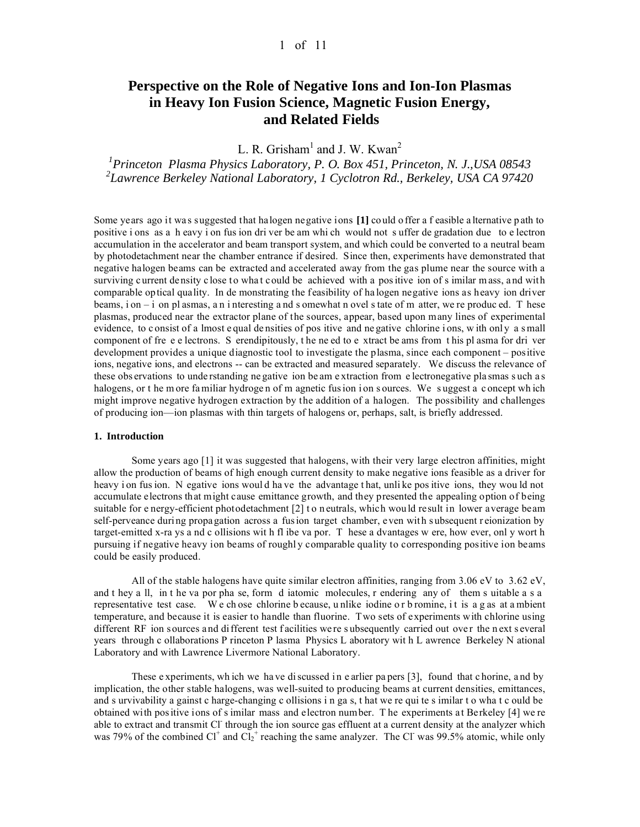## **Perspective on the Role of Negative Ions and Ion-Ion Plasmas in Heavy Ion Fusion Science, Magnetic Fusion Energy, and Related Fields**

L. R. Grisham<sup>1</sup> and J. W. Kwan<sup>2</sup>

*1 Princeton Plasma Physics Laboratory, P. O. Box 451, Princeton, N. J.,USA 08543 2 Lawrence Berkeley National Laboratory, 1 Cyclotron Rd., Berkeley, USA CA 97420* 

Some years ago it was suggested that halogen negative ions **[1]** co uld o ffer a f easible a lternative p ath to positive i ons as a h eavy i on fus ion dri ver be am whi ch would not s uffer de gradation due to e lectron accumulation in the accelerator and beam transport system, and which could be converted to a neutral beam by photodetachment near the chamber entrance if desired. Since then, experiments have demonstrated that negative halogen beams can be extracted and accelerated away from the gas plume near the source with a surviving current density close to wha t could be achieved with a pos itive ion of s imilar m ass, and with comparable optical quality. In de monstrating the feasibility of ha logen negative ions as heavy ion driver beams, i on – i on pl asmas, a n i nteresting a nd s omewhat n ovel s tate of m atter, we re produc ed. T hese plasmas, produced near the extractor plane of the sources, appear, based upon many lines of experimental evidence, to c onsist of a lmost e qual de nsities of pos itive and ne gative chlorine i ons, w ith onl y a s mall component of fre e e lectrons. S erendipitously, t he ne ed to e xtract be ams from t his pl asma for dri ver development provides a unique diagnostic tool to investigate the plasma, since each component – positive ions, negative ions, and electrons -- can be extracted and measured separately. We discuss the relevance of these obs ervations to unde rstanding ne gative ion be am e xtraction from e lectronegative pla smas s uch a s halogens, or t he m ore fa miliar hydrogen of m agnetic fusion i on s ources. We suggest a c oncept which might improve negative hydrogen extraction by the addition of a halogen. The possibility and challenges of producing ion—ion plasmas with thin targets of halogens or, perhaps, salt, is briefly addressed.

#### **1. Introduction**

 Some years ago [1] it was suggested that halogens, with their very large electron affinities, might allow the production of beams of high enough current density to make negative ions feasible as a driver for heavy i on fus ion. N egative ions would have the advantage that, unlike positive ions, they would not accumulate electrons that might cause emittance growth, and they presented the appealing option of being suitable for e nergy-efficient photodetachment [2] t o n eutrals, which would result in lower average beam self-perveance during propagation across a fus ion target chamber, even with s ubsequent r eionization by target-emitted x-ra ys a nd c ollisions wit h fl ibe va por. T hese a dvantages w ere, how ever, onl y wort h pursuing if negative heavy ion beams of roughl y comparable quality to corresponding positive ion beams could be easily produced.

 All of the stable halogens have quite similar electron affinities, ranging from 3.06 eV to 3.62 eV, and t hey a ll, in t he va por pha se, form d iatomic molecules, r endering any of them s uitable a s a representative test case. W e ch ose chlorine b ecause, u nlike iodine o r b romine, i t is a g as at a mbient temperature, and because it is easier to handle than fluorine. Two sets of experiments with chlorine using different RF ion s ources and different test facilities were subsequently carried out over the next s everal years through c ollaborations P rinceton P lasma Physics L aboratory wit h L awrence Berkeley N ational Laboratory and with Lawrence Livermore National Laboratory.

These e xperiments, wh ich we have discussed in e arlier papers [3], found that c horine, and by implication, the other stable halogens, was well-suited to producing beams at current densities, emittances, and s urvivability a gainst c harge-changing c ollisions i n ga s, t hat we re qui te s imilar t o wha t c ould be obtained with pos itive ions of s imilar mass and electron number. T he experiments at Berkeley [4] we re able to extract and transmit Cl through the ion source gas effluent at a current density at the analyzer which was 79% of the combined Cl<sup>+</sup> and Cl<sub>2</sub><sup>+</sup> reaching the same analyzer. The Cl was 99.5% atomic, while only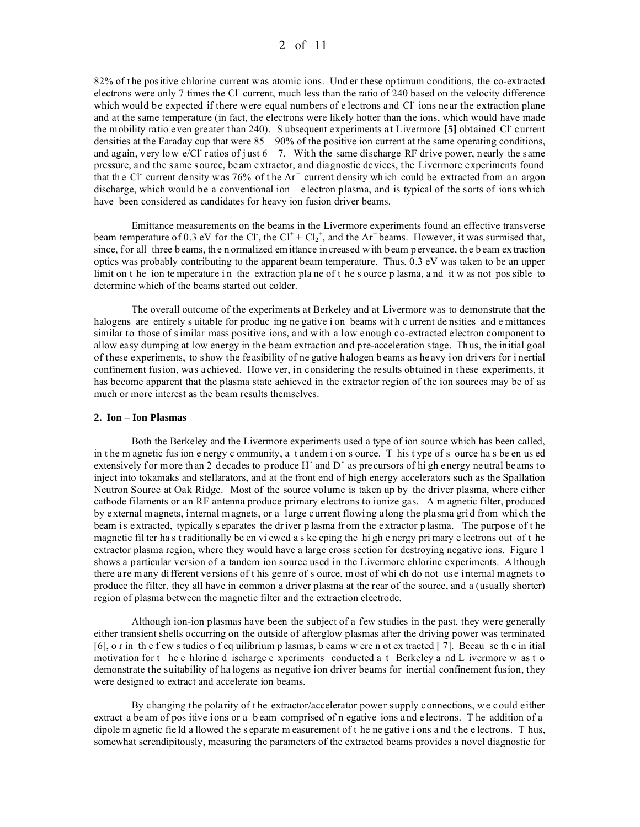82% of the positive chlorine current was atomic ions. Und er these optimum conditions, the co-extracted electrons were only 7 times the Cl current, much less than the ratio of 240 based on the velocity difference which would be expected if there were equal numbers of electrons and Cl ions near the extraction plane and at the same temperature (in fact, the electrons were likely hotter than the ions, which would have made the mobility ratio even greater than 240). S ubsequent experiments at Livermore **[5]** obtained Cl- current densities at the Faraday cup that were  $85 - 90\%$  of the positive ion current at the same operating conditions, and again, very low e/Cl ratios of just  $6 - 7$ . With the same discharge RF drive power, nearly the same pressure, and the same source, beam extractor, and diagnostic devices, the Livermore experiments found that the Cl<sup>-</sup> current density w as 76% of the  $Ar^+$  current density which could be extracted from an argon discharge, which would be a conventional ion – e lectron plasma, and is typical of the sorts of ions which have been considered as candidates for heavy ion fusion driver beams.

 Emittance measurements on the beams in the Livermore experiments found an effective transverse beam temperature of 0.3 eV for the Cl<sup>-</sup>, the Cl<sup>+</sup> + Cl<sub>2</sub><sup>+</sup>, and the Ar<sup>+</sup> beams. However, it was surmised that, since, for all three b eams, the n ormalized emittance in creased with b eam p erveance, the b eam ex traction optics was probably contributing to the apparent beam temperature. Thus, 0.3 eV was taken to be an upper limit on t he ion te mperature in the extraction plane of t he s ource p lasma, and it w as not pos sible to determine which of the beams started out colder.

 The overall outcome of the experiments at Berkeley and at Livermore was to demonstrate that the halogens are entirely s uitable for produc ing ne gative i on beams wit h c urrent de nsities and e mittances similar to those of s imilar mass positive ions, and with a low enough co-extracted electron component to allow easy dumping at low energy in the beam extraction and pre-acceleration stage. Thus, the initial goal of these experiments, to show the feasibility of ne gative h alogen b eams as heavy ion drivers for i nertial confinement fusion, was achieved. Howe ver, in considering the results obtained in these experiments, it has become apparent that the plasma state achieved in the extractor region of the ion sources may be of as much or more interest as the beam results themselves.

#### **2. Ion – Ion Plasmas**

 Both the Berkeley and the Livermore experiments used a type of ion source which has been called, in t he m agnetic fus ion e nergy c ommunity, a t andem i on s ource. T his t ype of s ource ha s be en us ed extensively for more than 2 decades to produce H<sup>-</sup> and D<sup>-</sup> as precursors of hi gh energy neutral beams to inject into tokamaks and stellarators, and at the front end of high energy accelerators such as the Spallation Neutron Source at Oak Ridge. Most of the source volume is taken up by the driver plasma, where either cathode filaments or an RF antenna produce primary electrons to ionize gas. A m agnetic filter, produced by external m agnets, internal m agnets, or a large current flowing along the plasma grid from which the beam is extracted, typically s eparates the dr iver p lasma fr om the extractor p lasma. The purpos e of t he magnetic fil ter ha s t raditionally be en vi ewed a s ke eping the hi gh e nergy pri mary e lectrons out of t he extractor plasma region, where they would have a large cross section for destroying negative ions. Figure 1 shows a particular version of a tandem ion source used in the Livermore chlorine experiments. A lthough there are m any different versions of t his genre of s ource, m ost of whi ch do not us e internal m agnets to produce the filter, they all have in common a driver plasma at the rear of the source, and a (usually shorter) region of plasma between the magnetic filter and the extraction electrode.

 Although ion-ion plasmas have been the subject of a few studies in the past, they were generally either transient shells occurring on the outside of afterglow plasmas after the driving power was terminated [6], o r in th e f ew s tudies o f eq uilibrium p lasmas, b eams w ere n ot ex tracted [ 7]. Becau se th e in itial motivation for t he c hlorine d ischarge e xperiments conducted a t Berkeley a nd L ivermore w as t o demonstrate the suitability of ha logens as negative ion driver beams for inertial confinement fusion, they were designed to extract and accelerate ion beams.

By changing the polarity of the extractor/accelerator power supply connections, we could either extract a be am of pos itive ions or a b eam comprised of n egative ions and e lectrons. T he addition of a dipole m agnetic fie ld a llowed t he s eparate m easurement of t he ne gative i ons a nd t he e lectrons. T hus, somewhat serendipitously, measuring the parameters of the extracted beams provides a novel diagnostic for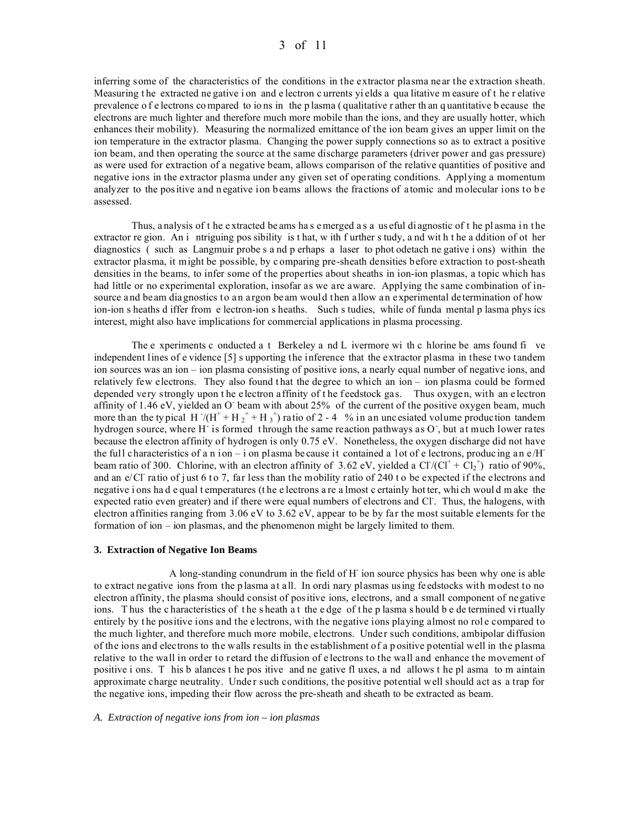inferring some of the characteristics of the conditions in the extractor plasma near the extraction sheath. Measuring the extracted ne gative i on and e lectron c urrents yi elds a qua litative m easure of t he r elative prevalence o f e lectrons co mpared to io ns in the p lasma ( qualitative r ather th an q uantitative b ecause the electrons are much lighter and therefore much more mobile than the ions, and they are usually hotter, which enhances their mobility). Measuring the normalized emittance of the ion beam gives an upper limit on the ion temperature in the extractor plasma. Changing the power supply connections so as to extract a positive ion beam, and then operating the source at the same discharge parameters (driver power and gas pressure) as were used for extraction of a negative beam, allows comparison of the relative quantities of positive and negative ions in the extractor plasma under any given set of operating conditions. Applying a momentum analyzer to the positive and n egative ion beams allows the fractions of atomic and molecular ions to be assessed.

Thus, a nalysis of t he extracted be ams has e merged as a useful diagnostic of t he plasma in the extractor re gion. An i ntriguing pos sibility is t hat, w ith f urther s tudy, a nd wit h t he a ddition of ot her diagnostics ( such as Langmuir probe s a nd p erhaps a laser to phot odetach ne gative i ons) within the extractor plasma, it might be possible, by c omparing pre-sheath densities before extraction to post-sheath densities in the beams, to infer some of the properties about sheaths in ion-ion plasmas, a topic which has had little or no experimental exploration, insofar as we are aware. Applying the same combination of insource and beam diagnostics to an argon beam would then allow an experimental determination of how ion-ion s heaths d iffer from e lectron-ion s heaths. Such s tudies, while of funda mental p lasma phys ics interest, might also have implications for commercial applications in plasma processing.

 The e xperiments c onducted a t Berkeley a nd L ivermore wi th c hlorine be ams found fi ve independent lines of e vidence [5] s upporting the inference that the extractor plasma in these two tandem ion sources was an ion – ion plasma consisting of positive ions, a nearly equal number of negative ions, and relatively few electrons. They also found that the degree to which an ion  $-$  ion plasma could be formed depended very strongly upon the electron affinity of the feedstock gas. Thus oxygen, with an electron affinity of 1.46 eV, yielded an O beam with about 25% of the current of the positive oxygen beam, much more than the typical H  $/(H^+ + H_2^+ + H_3^+)$  ratio of 2 - 4 % in an uncesiated volume production tandem hydrogen source, where H is formed through the same reaction pathways as O, but at much lower rates because the electron affinity of hydrogen is only 0.75 eV. Nonetheless, the oxygen discharge did not have the full characteristics of a n ion – i on plasma be cause it contained a lot of e lectrons, producing an  $e/H$ beam ratio of 300. Chlorine, with an electron affinity of 3.62 eV, yielded a  $Cl/(Cl^+ + \overline{Cl_2}^+)$  ratio of 90%, and an e/Cl ratio of just 6 to 7, far less than the mobility ratio of 240 to be expected if the electrons and negative i ons ha d e qual t emperatures (t he e lectrons a re a lmost c ertainly hot ter, whi ch woul d m ake the expected ratio even greater) and if there were equal numbers of electrons and Cl. Thus, the halogens, with electron affinities ranging from 3.06 eV to 3.62 eV, appear to be by far the most suitable elements for the formation of ion – ion plasmas, and the phenomenon might be largely limited to them.

#### **3. Extraction of Negative Ion Beams**

A long-standing conundrum in the field of H- ion source physics has been why one is able to extract negative ions from the p lasma at all. In ordi nary plasmas using feedstocks with modest to no electron affinity, the plasma should consist of positive ions, electrons, and a small component of negative ions. Thus the c haracteristics of the s heath a t the edge of the p lasma s hould b e de termined virtually entirely by t he positive ions and the electrons, with the negative ions playing almost no rol e compared to the much lighter, and therefore much more mobile, electrons. Under such conditions, ambipolar diffusion of the ions and electrons to the walls results in the establishment of a p ositive potential well in the plasma relative to the wall in order to retard the diffusion of e lectrons to the wall and enhance the movement of positive i ons. T his b alances t he pos itive and ne gative fl uxes, a nd allows t he pl asma to m aintain approximate charge neutrality. Unde r such conditions, the positive potential well should act as a trap for the negative ions, impeding their flow across the pre-sheath and sheath to be extracted as beam.

#### *A. Extraction of negative ions from ion – ion plasmas*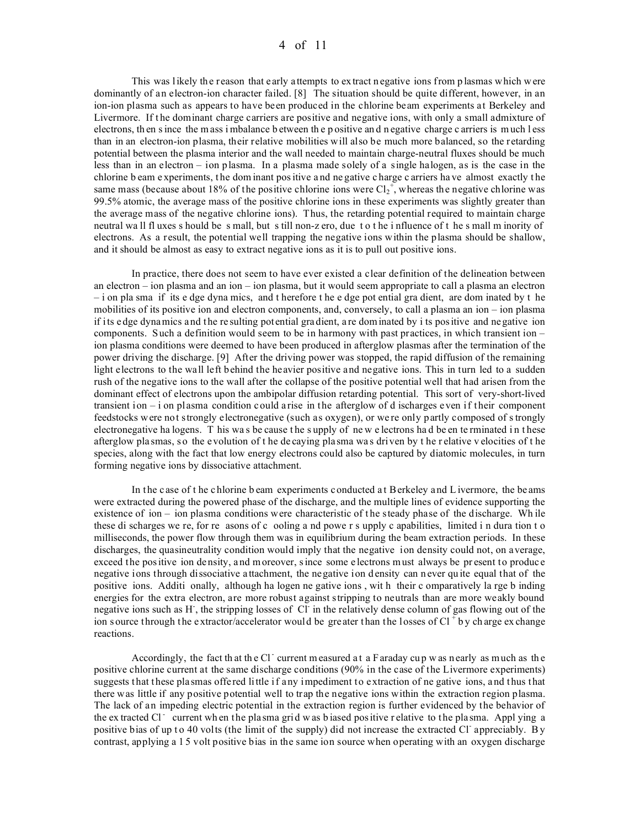This was likely th e reason that early attempts to ex tract n egative ions from p lasmas which w ere dominantly of an electron-ion character failed. [8]The situation should be quite different, however, in an ion-ion plasma such as appears to have been produced in the chlorine beam experiments at Berkeley and Livermore. If the dominant charge carriers are positive and negative ions, with only a small admixture of electrons, th en s ince the m ass i mbalance b etween th e p ositive an d n egative charge c arriers is m uch l ess than in an electron-ion plasma, their relative mobilities will also be much more balanced, so the retarding potential between the plasma interior and the wall needed to maintain charge-neutral fluxes should be much less than in an electron – ion plasma. In a plasma made solely of a single halogen, as is the case in the chlorine b eam e xperiments, the dom inant positive and ne gative charge c arriers have almost exactly the same mass (because about 18% of the positive chlorine ions were  $Cl_2^+$ , whereas the negative chlorine was 99.5% atomic, the average mass of the positive chlorine ions in these experiments was slightly greater than the average mass of the negative chlorine ions). Thus, the retarding potential required to maintain charge neutral wa ll fl uxes s hould be s mall, but s till non-z ero, due t o t he i nfluence of t he s mall m inority of electrons. As a result, the potential well trapping the negative ions within the plasma should be shallow, and it should be almost as easy to extract negative ions as it is to pull out positive ions.

 In practice, there does not seem to have ever existed a clear definition of the delineation between an electron – ion plasma and an ion – ion plasma, but it would seem appropriate to call a plasma an electron – i on pla sma if its e dge dyna mics, and t herefore t he e dge pot ential gra dient, are dom inated by t he mobilities of its positive ion and electron components, and, conversely, to call a plasma an ion – ion plasma if its edge dynamics and the re sulting potential gradient, a re dom inated by i ts pos itive and negative ion components. Such a definition would seem to be in harmony with past practices, in which transient ion – ion plasma conditions were deemed to have been produced in afterglow plasmas after the termination of the power driving the discharge. [9] After the driving power was stopped, the rapid diffusion of the remaining light electrons to the wall left behind the heavier positive and negative ions. This in turn led to a sudden rush of the negative ions to the wall after the collapse of the positive potential well that had arisen from the dominant effect of electrons upon the ambipolar diffusion retarding potential. This sort of very-short-lived transient ion – i on plasma condition could arise in the afterglow of d ischarges even if their component feedstocks were not strongly electronegative (such as oxygen), or we re only partly composed of s trongly electronegative ha logens. T his wa s be cause t he s upply of ne w e lectrons ha d be en te rminated i n t hese afterglow plasmas, s o the evolution of t he de caying plasma wa s driven by t he r elative v elocities of t he species, along with the fact that low energy electrons could also be captured by diatomic molecules, in turn forming negative ions by dissociative attachment.

 In the case of t he chlorine b eam experiments conducted a t Berkeley and L ivermore, the beams were extracted during the powered phase of the discharge, and the multiple lines of evidence supporting the existence of ion – ion plasma conditions were characteristic of the steady phase of the discharge. Wh ile these di scharges we re, for re asons of c ooling a nd powe r s upply c apabilities, limited i n dura tion t o milliseconds, the power flow through them was in equilibrium during the beam extraction periods. In these discharges, the quasineutrality condition would imply that the negative ion density could not, on average, exceed the positive ion density, and m oreover, since some electrons must always be present to produce negative ions through dissociative attachment, the negative ion d ensity can n ever qu ite equal that of the positive ions. Additi onally, although ha logen ne gative ions , wit h their c omparatively la rge b inding energies for the extra electron, are more robust against stripping to neutrals than are more weakly bound negative ions such as H, the stripping losses of Cl in the relatively dense column of gas flowing out of the ion source through the extractor/accelerator would be greater than the losses of Cl<sup>+</sup>by charge ex change reactions.

Accordingly, the fact that the Cl<sup>-</sup> current measured at a F araday cup w as nearly as much as the positive chlorine current at the same discharge conditions (90% in the case of the Livermore experiments) suggests that these plasmas offered little if any impediment to extraction of ne gative ions, and thus that there was little if any positive potential well to trap the negative ions within the extraction region plasma. The lack of an impeding electric potential in the extraction region is further evidenced by the behavior of the ex tracted Cl<sup>-</sup> current wh en the plasma grid w as b iased positive r elative to the plasma. Appl ying a positive bias of up to 40 volts (the limit of the supply) did not increase the extracted Cl appreciably. By contrast, applying a 1 5 volt positive bias in the same ion source when operating with an oxygen discharge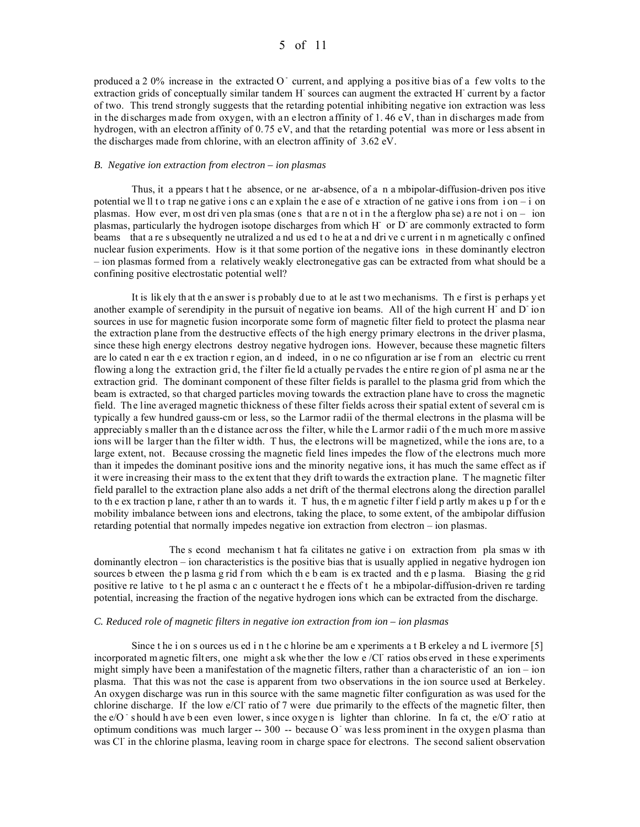produced a 2 0% increase in the extracted  $O<sup>-</sup>$  current, and applying a positive bias of a few volts to the extraction grids of conceptually similar tandem H sources can augment the extracted H current by a factor of two. This trend strongly suggests that the retarding potential inhibiting negative ion extraction was less in the discharges m ade from oxygen, with an electron affinity of 1. 46 eV, than in discharges m ade from hydrogen, with an electron affinity of 0.75 eV, and that the retarding potential was more or less absent in the discharges made from chlorine, with an electron affinity of 3.62 eV.

#### *B. Negative ion extraction from electron – ion plasmas*

 Thus, it a ppears t hat t he absence, or ne ar-absence, of a n a mbipolar-diffusion-driven pos itive potential we ll t o trap ne gative i ons c an explain the e ase of e xtraction of ne gative i ons from i on  $-$  i on plasmas. How ever, m ost driven pla smas (one s that a re n ot in the a fterglow phase) a re not i on  $-$  ion plasmas, particularly the hydrogen isotope discharges from which H or D are commonly extracted to form beams that a re s ubsequently ne utralized a nd us ed t o he at a nd dri ve c urrent i n m agnetically c onfined nuclear fusion experiments. How is it that some portion of the negative ions in these dominantly electron – ion plasmas formed from a relatively weakly electronegative gas can be extracted from what should be a confining positive electrostatic potential well?

It is likely that the an swer is p robably due to at least two mechanisms. The first is perhaps yet another example of serendipity in the pursuit of negative ion beams. All of the high current H<sup>-</sup> and D<sup>-</sup> ion sources in use for magnetic fusion incorporate some form of magnetic filter field to protect the plasma near the extraction plane from the destructive effects of the high energy primary electrons in the driver plasma, since these high energy electrons destroy negative hydrogen ions. However, because these magnetic filters are lo cated n ear th e ex traction r egion, an d indeed, in o ne co nfiguration ar ise f rom an electric cu rrent flowing a long the extraction grid, the filter field a ctually pervades the entire region of pl asma near the extraction grid. The dominant component of these filter fields is parallel to the plasma grid from which the beam is extracted, so that charged particles moving towards the extraction plane have to cross the magnetic field. The line averaged magnetic thickness of these filter fields across their spatial extent of several cm is typically a few hundred gauss-cm or less, so the Larmor radii of the thermal electrons in the plasma will be appreciably s maller th an the d istance across the filter, while the L armor radii of the much m ore massive ions will be larger than the filter w idth. T hus, the electrons will be magnetized, while the ions are, to a large extent, not. Because crossing the magnetic field lines impedes the flow of the electrons much more than it impedes the dominant positive ions and the minority negative ions, it has much the same effect as if it were increasing their mass to the extent that they drift towards the extraction plane. T he magnetic filter field parallel to the extraction plane also adds a net drift of the thermal electrons along the direction parallel to the ex traction p lane, r ather th an to wards it. T hus, the m agnetic filter field p artly m akes up f or the mobility imbalance between ions and electrons, taking the place, to some extent, of the ambipolar diffusion retarding potential that normally impedes negative ion extraction from electron – ion plasmas.

 The s econd mechanism t hat fa cilitates ne gative i on extraction from pla smas w ith dominantly electron – ion characteristics is the positive bias that is usually applied in negative hydrogen ion sources b etween the p lasma g rid f rom which the b eam is ex tracted and the p lasma. Biasing the g rid positive re lative to t he pl asma c an c ounteract t he e ffects of t he a mbipolar-diffusion-driven re tarding potential, increasing the fraction of the negative hydrogen ions which can be extracted from the discharge.

#### *C. Reduced role of magnetic filters in negative ion extraction from ion – ion plasmas*

Since t he i on s ources us ed i n t he c hlorine be am e xperiments a t B erkeley a nd L ivermore [5] incorporated m agnetic filters, one might a sk whe ther the low e /Cl ratios obs erved in these experiments might simply have been a manifestation of the magnetic filters, rather than a characteristic of an ion – ion plasma. That this was not the case is apparent from two observations in the ion source used at Berkeley. An oxygen discharge was run in this source with the same magnetic filter configuration as was used for the chlorine discharge. If the low e/Cl ratio of 7 were due primarily to the effects of the magnetic filter, then the e/O should h ave been even lower, since oxygen is lighter than chlorine. In fa ct, the e/O ratio at optimum conditions was much larger -- 300 -- because O was less prominent in the oxygen plasma than was Cl<sup>-</sup> in the chlorine plasma, leaving room in charge space for electrons. The second salient observation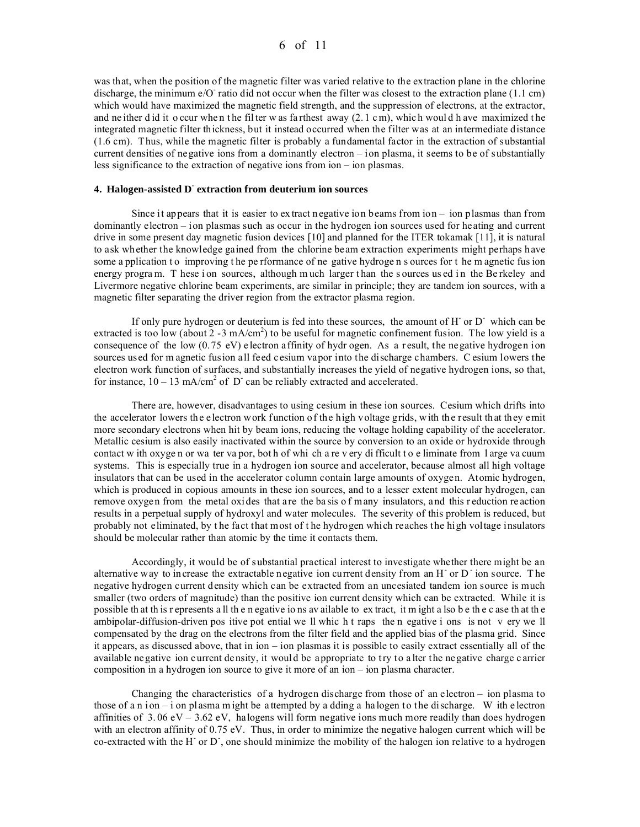was that, when the position of the magnetic filter was varied relative to the extraction plane in the chlorine discharge, the minimum e/O ratio did not occur when the filter was closest to the extraction plane (1.1 cm) which would have maximized the magnetic field strength, and the suppression of electrons, at the extractor, and ne ither d id it o ccur when the filter was farthest away  $(2.1 \text{ cm})$ , which would h ave maximized the integrated magnetic filter thickness, but it instead occurred when the filter was at an intermediate distance (1.6 cm). Thus, while the magnetic filter is probably a fundamental factor in the extraction of substantial current densities of negative ions from a dominantly electron – ion plasma, it seems to be of substantially less significance to the extraction of negative ions from ion – ion plasmas.

## **4. Halogen-assisted D- extraction from deuterium ion sources**

Since it appears that it is easier to extract n egative ion beams from ion  $-$  ion plasmas than from dominantly electron – ion plasmas such as occur in the hydrogen ion sources used for heating and current drive in some present day magnetic fusion devices [10] and planned for the ITER tokamak [11], it is natural to ask whether the knowledge gained from the chlorine beam extraction experiments might perhaps have some a pplication to improving the performance of ne gative hydroge n s ources for t he m agnetic fusion energy program. These i on sources, although m uch larger than the sources us ed in the Be rkeley and Livermore negative chlorine beam experiments, are similar in principle; they are tandem ion sources, with a magnetic filter separating the driver region from the extractor plasma region.

If only pure hydrogen or deuterium is fed into these sources, the amount of  $H$  or  $D^-$  which can be extracted is too low (about  $2 - 3$  mA/cm<sup>2</sup>) to be useful for magnetic confinement fusion. The low yield is a consequence of the low (0.75 eV) electron affinity of hydr ogen. As a r esult, the negative hydrogen ion sources used for m agnetic fusion all feed cesium vapor into the discharge chambers. C esium lowers the electron work function of surfaces, and substantially increases the yield of negative hydrogen ions, so that, for instance,  $10 - 13$  mA/cm<sup>2</sup> of D<sup>-</sup> can be reliably extracted and accelerated.

 There are, however, disadvantages to using cesium in these ion sources. Cesium which drifts into the accelerator lowers the electron work function of the high voltage grids, with the result that they emit more secondary electrons when hit by beam ions, reducing the voltage holding capability of the accelerator. Metallic cesium is also easily inactivated within the source by conversion to an oxide or hydroxide through contact w ith oxyge n or wa ter va por, bot h of whi ch a re v ery di fficult t o e liminate from l arge va cuum systems. This is especially true in a hydrogen ion source and accelerator, because almost all high voltage insulators that can be used in the accelerator column contain large amounts of oxygen. Atomic hydrogen, which is produced in copious amounts in these ion sources, and to a lesser extent molecular hydrogen, can remove oxygen from the metal oxides that are the ba sis o f m any insulators, and this r eduction re action results in a perpetual supply of hydroxyl and water molecules. The severity of this problem is reduced, but probably not eliminated, by t he fact that most of t he hydrogen which reaches the high voltage insulators should be molecular rather than atomic by the time it contacts them.

 Accordingly, it would be of substantial practical interest to investigate whether there might be an alternative way to increase the extractable negative ion current density from an H or D ion source. The negative hydrogen current density which can be extracted from an uncesiated tandem ion source is much smaller (two orders of magnitude) than the positive ion current density which can be extracted. While it is possible th at th is r epresents a ll th e n egative io ns av ailable to ex tract, it m ight a lso b e th e c ase th at th e ambipolar-diffusion-driven pos itive pot ential we ll whic h t raps the n egative i ons is not v ery we ll compensated by the drag on the electrons from the filter field and the applied bias of the plasma grid. Since it appears, as discussed above, that in ion – ion plasmas it is possible to easily extract essentially all of the available negative ion current density, it would be appropriate to try to a lter the negative charge c arrier composition in a hydrogen ion source to give it more of an ion – ion plasma character.

 Changing the characteristics of a hydrogen discharge from those of an electron – ion plasma to those of a n ion – i on plasma m ight be a ttempted by a dding a halogen to the discharge. W ith e lectron affinities of  $3.06 \text{ eV} - 3.62 \text{ eV}$ , halogens will form negative ions much more readily than does hydrogen with an electron affinity of 0.75 eV. Thus, in order to minimize the negative halogen current which will be co-extracted with the H<sup>-</sup> or D<sup>-</sup>, one should minimize the mobility of the halogen ion relative to a hydrogen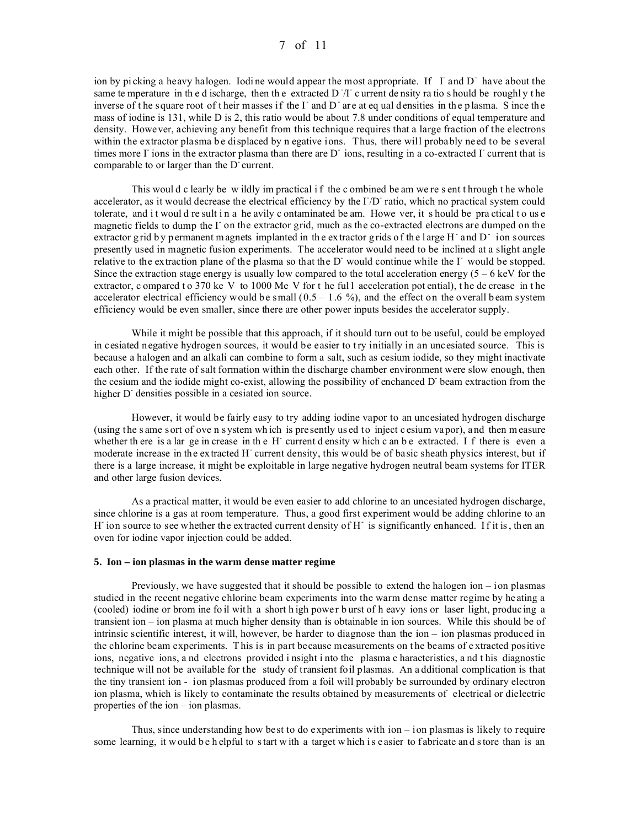ion by picking a heavy halogen. Iodine would appear the most appropriate. If I and D have about the same te mperature in the d ischarge, then the extracted D  $\pi$  current density ratio should be roughly the inverse of the square root of their masses if the I and D are at eq ual densities in the plasma. Since the mass of iodine is 131, while D is 2, this ratio would be about 7.8 under conditions of equal temperature and density. However, achieving any benefit from this technique requires that a large fraction of the electrons within the extractor plasma be displaced by n egative ions. Thus, there will probably need to be several times more I ions in the extractor plasma than there are D ions, resulting in a co-extracted I current that is comparable to or larger than the D<sup>-</sup> current.

This would c learly be w ildly im practical if the c ombined be am we re s ent t hrough t he whole accelerator, as it would decrease the electrical efficiency by the I/D ratio, which no practical system could tolerate, and i t woul d re sult i n a he avily c ontaminated be am. Howe ver, it s hould be pra ctical t o us e magnetic fields to dump the I on the extractor grid, much as the co-extracted electrons are dumped on the extractor grid by permanent magnets implanted in the extractor grids of the large H<sup>-</sup> and D<sup>-</sup> ion sources presently used in magnetic fusion experiments. The accelerator would need to be inclined at a slight angle relative to the extraction plane of the plasma so that the D would continue while the I would be stopped. Since the extraction stage energy is usually low compared to the total acceleration energy  $(5 - 6 \text{ keV}$  for the extractor, c ompared to  $370 \text{ keV}$  to  $1000 \text{ MeV}$  for the full acceleration pot ential), the de crease in the accelerator electrical efficiency would be small  $(0.5 - 1.6 \%)$ , and the effect on the overall beam system efficiency would be even smaller, since there are other power inputs besides the accelerator supply.

While it might be possible that this approach, if it should turn out to be useful, could be employed in cesiated negative hydrogen sources, it would be easier to t ry initially in an uncesiated source. This is because a halogen and an alkali can combine to form a salt, such as cesium iodide, so they might inactivate each other. If the rate of salt formation within the discharge chamber environment were slow enough, then the cesium and the iodide might co-exist, allowing the possibility of enchanced D beam extraction from the higher D<sup>-</sup> densities possible in a cesiated ion source.

 However, it would be fairly easy to try adding iodine vapor to an uncesiated hydrogen discharge (using the s ame s ort of ove n s ystem wh ich is presently us ed to inject c esium vapor), and then m easure whether th ere is a lar ge in crease in the H<sup>-</sup> current d ensity w hich c an b e extracted. If there is even a moderate increase in the extracted H<sup>-</sup> current density, this would be of basic sheath physics interest, but if there is a large increase, it might be exploitable in large negative hydrogen neutral beam systems for ITER and other large fusion devices.

 As a practical matter, it would be even easier to add chlorine to an uncesiated hydrogen discharge, since chlorine is a gas at room temperature. Thus, a good first experiment would be adding chlorine to an H<sup>-</sup> ion source to see whether the extracted current density of H<sup>-</sup> is significantly enhanced. If it is, then an oven for iodine vapor injection could be added.

#### **5. Ion – ion plasmas in the warm dense matter regime**

Previously, we have suggested that it should be possible to extend the halogen ion  $-$  ion plasmas studied in the recent negative chlorine beam experiments into the warm dense matter regime by he ating a (cooled) iodine or brom ine fo il with a short h igh power b urst of h eavy ions or laser light, producing a transient ion – ion plasma at much higher density than is obtainable in ion sources. While this should be of intrinsic scientific interest, it will, however, be harder to diagnose than the ion – ion plasmas produced in the chlorine beam experiments. T his is in part because measurements on t he beams of e xtracted positive ions, negative ions, a nd electrons provided i nsight i nto the plasma c haracteristics, a nd t his diagnostic technique will not be available for the study of transient foil plasmas. An a dditional complication is that the tiny transient ion - ion plasmas produced from a foil will probably be surrounded by ordinary electron ion plasma, which is likely to contaminate the results obtained by measurements of electrical or dielectric properties of the ion – ion plasmas.

 Thus, since understanding how best to do experiments with ion – ion plasmas is likely to require some learning, it would be h elpful to start w ith a target which is easier to fabricate and store than is an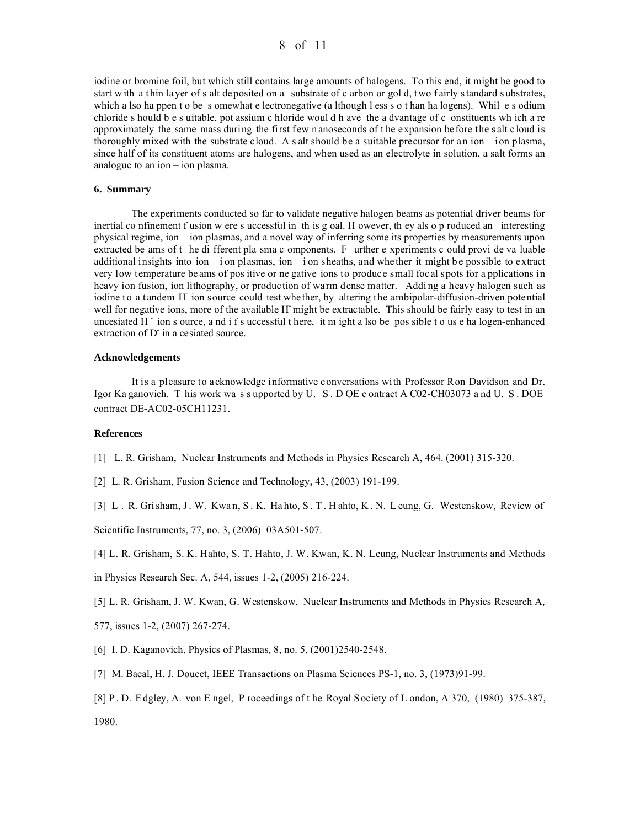iodine or bromine foil, but which still contains large amounts of halogens. To this end, it might be good to start w ith a thin layer of s alt deposited on a substrate of c arbon or gol d, two f airly s tandard s ubstrates, which a lso ha ppen t o be s omewhat e lectronegative (a lthough l ess s o t han ha logens). Whil e s odium chloride s hould b e s uitable, pot assium c hloride woul d h ave the a dvantage of c onstituents wh ich a re approximately the same mass during the first few n anoseconds of the expansion before the salt cloud is thoroughly mixed with the substrate cloud. A s alt should be a suitable precursor for an ion – ion plasma, since half of its constituent atoms are halogens, and when used as an electrolyte in solution, a salt forms an analogue to an ion – ion plasma.

## **6. Summary**

 The experiments conducted so far to validate negative halogen beams as potential driver beams for inertial co nfinement f usion w ere s uccessful in th is g oal. H owever, th ey als o p roduced an interesting physical regime, ion – ion plasmas, and a novel way of inferring some its properties by measurements upon extracted be ams of t he di fferent pla sma c omponents. F urther e xperiments c ould provi de va luable additional insights into ion – i on plasmas, ion – i on sheaths, and whether it might be possible to extract very low temperature beams of pos itive or ne gative ions to produce small focal spots for a pplications in heavy ion fusion, ion lithography, or production of warm dense matter. Addi ng a heavy halogen such as iodine to a tandem H<sup>-</sup> ion source could test whether, by altering the ambipolar-diffusion-driven potential well for negative ions, more of the available H might be extractable. This should be fairly easy to test in an uncesiated H<sup>-</sup> ion s ource, a nd i f s uccessful t here, it m ight a lso be pos sible t o us e ha logen-enhanced extraction of D in a cesiated source.

#### **Acknowledgements**

It is a pleasure to acknowledge informative conversations with Professor Ron Davidson and Dr. Igor Ka ganovich. T his work wa s s upported by U. S . D OE c ontract A C02-CH03073 a nd U. S . DOE contract DE-AC02-05CH11231.

#### **References**

[1] L. R. Grisham, Nuclear Instruments and Methods in Physics Research A, 464. (2001) 315-320.

- [2] L. R. Grisham, Fusion Science and Technology**,** 43, (2003) 191-199.
- [3] L. R. Gri sham, J. W. Kwan, S. K. Hahto, S. T. Hahto, K. N. Leung, G. Westenskow, Review of

Scientific Instruments, 77, no. 3, (2006) 03A501-507.

[4] L. R. Grisham, S. K. Hahto, S. T. Hahto, J. W. Kwan, K. N. Leung, Nuclear Instruments and Methods

in Physics Research Sec. A, 544, issues 1-2, (2005) 216-224.

[5] L. R. Grisham, J. W. Kwan, G. Westenskow, Nuclear Instruments and Methods in Physics Research A*,* 

577, issues 1-2, (2007) 267-274.

[6] I. D. Kaganovich, Physics of Plasmas*,* 8, no. 5, (2001)2540-2548.

[7] M. Bacal, H. J. Doucet, IEEE Transactions on Plasma Sciences PS-1, no. 3, (1973)91-99.

[8] P . D. E dgley, A. von E ngel, P roceedings of t he Royal S ociety of L ondon, A 370, (1980) 375-387, 1980.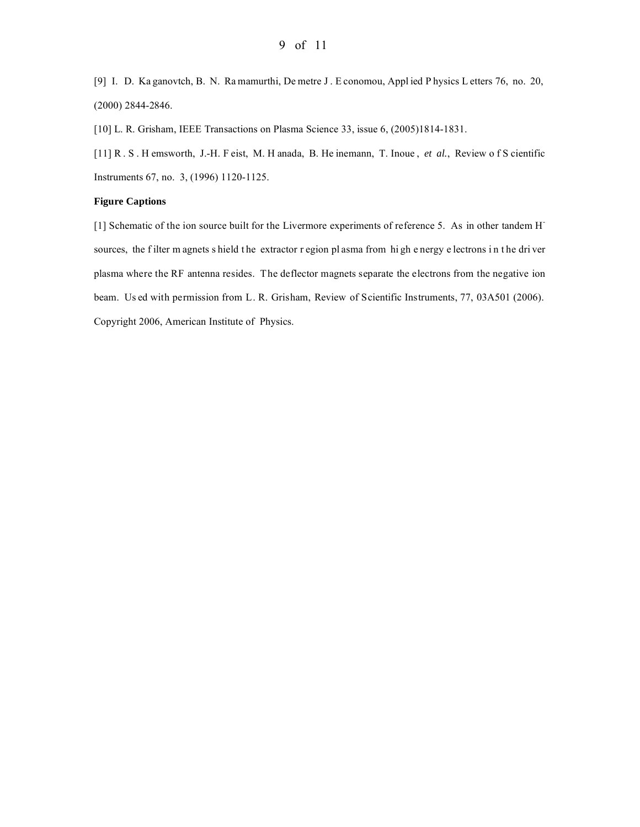[9] I. D. Ka ganovtch, B. N. Ra mamurthi, De metre J. E conomou, Appl ied P hysics L etters 76, no. 20, (2000) 2844-2846.

[10] L. R. Grisham, IEEE Transactions on Plasma Science 33, issue 6, (2005)1814-1831.

[11] R . S . H emsworth, J.-H. F eist, M. H anada, B. He inemann, T. Inoue , *et al.*, Review o f S cientific Instruments 67, no. 3, (1996) 1120-1125.

### **Figure Captions**

[1] Schematic of the ion source built for the Livermore experiments of reference 5. As in other tandem Hsources, the f ilter m agnets s hield the extractor r egion pl asma from high e nergy e lectrons in the driver plasma where the RF antenna resides. The deflector magnets separate the electrons from the negative ion beam. Us ed with permission from L. R. Grisham, Review of Scientific Instruments, 77, 03A501 (2006). Copyright 2006, American Institute of Physics.